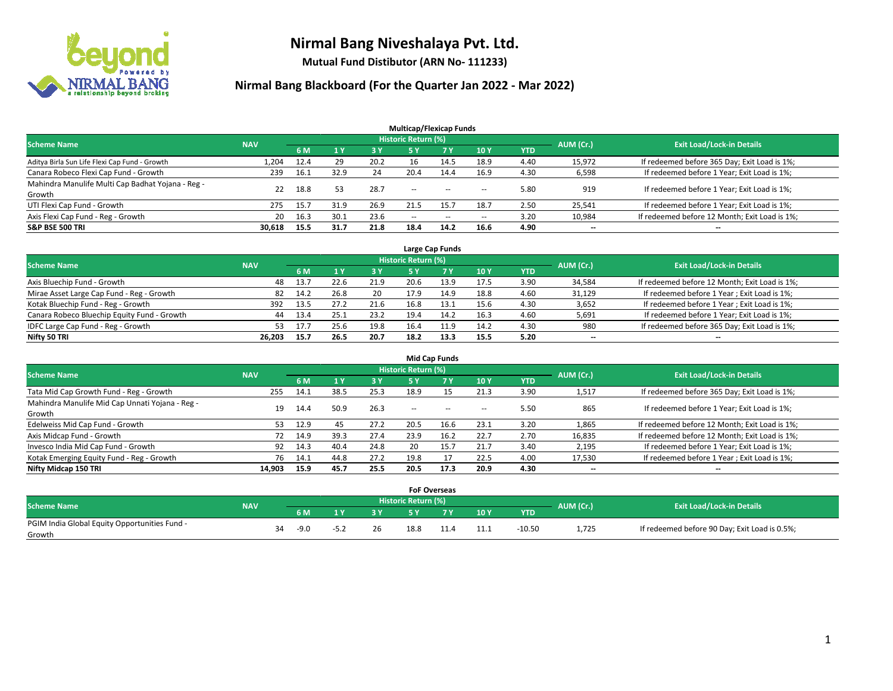

**Mutual Fund Distibutor (ARN No- 111233)**

| <b>Multicap/Flexicap Funds</b>                    |            |      |      |      |                          |                |                          |            |                          |                                               |  |  |  |
|---------------------------------------------------|------------|------|------|------|--------------------------|----------------|--------------------------|------------|--------------------------|-----------------------------------------------|--|--|--|
| <b>Scheme Name</b>                                | <b>NAV</b> |      |      |      | Historic Return (%)      |                |                          |            | AUM (Cr.)                | <b>Exit Load/Lock-in Details</b>              |  |  |  |
|                                                   |            | 6 M  |      | 3 Y  | 5 Y                      | 7 <sub>V</sub> | <b>10Y</b>               | <b>YTD</b> |                          |                                               |  |  |  |
| Aditya Birla Sun Life Flexi Cap Fund - Growth     | 1,204      | 12.4 | 29   | 20.2 | 16                       | 14.5           | 18.9                     | 4.40       | 15,972                   | If redeemed before 365 Day; Exit Load is 1%;  |  |  |  |
| Canara Robeco Flexi Cap Fund - Growth             | 239        | 16.1 | 32.9 | 24   | 20.4                     | 14.4           | 16.9                     | 4.30       | 6,598                    | If redeemed before 1 Year; Exit Load is 1%;   |  |  |  |
| Mahindra Manulife Multi Cap Badhat Yojana - Reg - | 22         | 18.8 | 53   | 28.7 | $\sim$ $\sim$            | $-$            | --                       | 5.80       | 919                      | If redeemed before 1 Year; Exit Load is 1%;   |  |  |  |
| Growth                                            |            |      |      |      |                          |                |                          |            |                          |                                               |  |  |  |
| UTI Flexi Cap Fund - Growth                       | 275        | 15.7 | 31.9 | 26.9 | 21.5                     | 15.7           | 18.7                     | 2.50       | 25,541                   | If redeemed before 1 Year; Exit Load is 1%;   |  |  |  |
| Axis Flexi Cap Fund - Reg - Growth                | 20         | 16.3 | 30.1 | 23.6 | $\overline{\phantom{m}}$ | $\sim$         | $\overline{\phantom{a}}$ | 3.20       | 10,984                   | If redeemed before 12 Month; Exit Load is 1%; |  |  |  |
| <b>S&amp;P BSE 500 TRI</b>                        | 30.618     | 15.5 | 31.7 | 21.8 | 18.4                     | 14.2           | 16.6                     | 4.90       | $\overline{\phantom{a}}$ | $\overline{\phantom{a}}$                      |  |  |  |

| Large Cap Funds                             |            |      |      |      |                            |      |      |      |                          |                                               |  |  |  |
|---------------------------------------------|------------|------|------|------|----------------------------|------|------|------|--------------------------|-----------------------------------------------|--|--|--|
| <b>Scheme Name</b>                          | <b>NAV</b> |      |      |      | <b>Historic Return (%)</b> |      |      |      | AUM (Cr.)                | <b>Exit Load/Lock-in Details</b>              |  |  |  |
|                                             |            | 6 M  |      | 73 Y |                            |      | 10Y  | YTD  |                          |                                               |  |  |  |
| Axis Bluechip Fund - Growth                 | 48         | 13.7 | 22.6 | 21.9 | 20.6                       | 13.9 | 17.5 | 3.90 | 34,584                   | If redeemed before 12 Month; Exit Load is 1%; |  |  |  |
| Mirae Asset Large Cap Fund - Reg - Growth   | 82         | 14.2 | 26.8 | 20   | 17.9                       | 14.9 | 18.8 | 4.60 | 31,129                   | If redeemed before 1 Year; Exit Load is 1%;   |  |  |  |
| Kotak Bluechip Fund - Reg - Growth          | 392        | 13.5 | 27.2 | 21.6 | 16.8                       | 13.1 | 15.6 | 4.30 | 3,652                    | If redeemed before 1 Year; Exit Load is 1%;   |  |  |  |
| Canara Robeco Bluechip Equity Fund - Growth | 44         | 13.4 | 25.2 | 23.2 | 19.4                       | 14.2 | 16.3 | 4.60 | 5,691                    | If redeemed before 1 Year; Exit Load is 1%;   |  |  |  |
| IDFC Large Cap Fund - Reg - Growth          | 53.        | 17.7 | 25.6 | 19.8 | 16.4                       | 11.9 | 14.2 | 4.30 | 980                      | If redeemed before 365 Day; Exit Load is 1%;  |  |  |  |
| Nifty 50 TRI                                | 26.203     | 15.7 | 26.5 | 20.7 | 18.2                       | 13.3 | 15.5 | 5.20 | $\overline{\phantom{a}}$ | $-$                                           |  |  |  |

| <b>Mid Cap Funds</b>                                      |            |           |      |      |                     |           |        |            |           |                                               |  |  |  |
|-----------------------------------------------------------|------------|-----------|------|------|---------------------|-----------|--------|------------|-----------|-----------------------------------------------|--|--|--|
| <b>Scheme Name</b>                                        | <b>NAV</b> |           |      |      | Historic Return (%) |           |        |            | AUM (Cr.) | <b>Exit Load/Lock-in Details</b>              |  |  |  |
|                                                           |            | <b>6M</b> |      | 3 Y  | 5 Y                 | <b>7Y</b> | 10Y    | <b>YTD</b> |           |                                               |  |  |  |
| Tata Mid Cap Growth Fund - Reg - Growth                   | 255        | 14.1      | 38.5 | 25.3 | 18.9                | 15        | 21.3   | 3.90       | 1,517     | If redeemed before 365 Day; Exit Load is 1%;  |  |  |  |
| Mahindra Manulife Mid Cap Unnati Yojana - Reg -<br>Growth | 19         | 14.4      | 50.9 | 26.3 | $-$                 | $\sim$    | $\sim$ | 5.50       | 865       | If redeemed before 1 Year; Exit Load is 1%;   |  |  |  |
| Edelweiss Mid Cap Fund - Growth                           | 53.        | 12.9      | 45   | 27.2 | 20.5                | 16.6      | 23.1   | 3.20       | 1,865     | If redeemed before 12 Month; Exit Load is 1%; |  |  |  |
| Axis Midcap Fund - Growth                                 | 72         | 14.9      | 39.3 | 27.4 | 23.9                | 16.2      | 22.7   | 2.70       | 16,835    | If redeemed before 12 Month; Exit Load is 1%; |  |  |  |
| Invesco India Mid Cap Fund - Growth                       | 92         | 14.3      | 40.4 | 24.8 | 20                  | 15.7      | 21.7   | 3.40       | 2,195     | If redeemed before 1 Year; Exit Load is 1%;   |  |  |  |
| Kotak Emerging Equity Fund - Reg - Growth                 | 76         | 14.1      | 44.8 | 27.2 | 19.8                |           | 22.5   | 4.00       | 17,530    | If redeemed before 1 Year; Exit Load is 1%;   |  |  |  |
| Nifty Midcap 150 TRI                                      | 14.903     | 15.9      | 45.7 | 25.5 | 20.5                | 17.3      | 20.9   | 4.30       | $- -$     | $\overline{\phantom{a}}$                      |  |  |  |

|                                               |            |    |        |    |    | <b>FoF Overseas</b> |     |      |            |           |                                               |
|-----------------------------------------------|------------|----|--------|----|----|---------------------|-----|------|------------|-----------|-----------------------------------------------|
| <b>Scheme Name</b>                            | <b>NAV</b> |    |        |    |    | Historic Return (%) |     |      |            | AUM (Cr.) | <b>Exit Load/Lock-in Details</b>              |
|                                               |            |    | 6 M    | ıν | 2V |                     | 7 V | 10Y  | <b>YTD</b> |           |                                               |
| PGIM India Global Equity Opportunities Fund - |            | 34 | $-9.0$ |    | 26 | 18.8                |     |      | $-10.50$   | 1,725     | If redeemed before 90 Day; Exit Load is 0.5%; |
| Growth                                        |            |    |        |    |    |                     |     | 11.1 |            |           |                                               |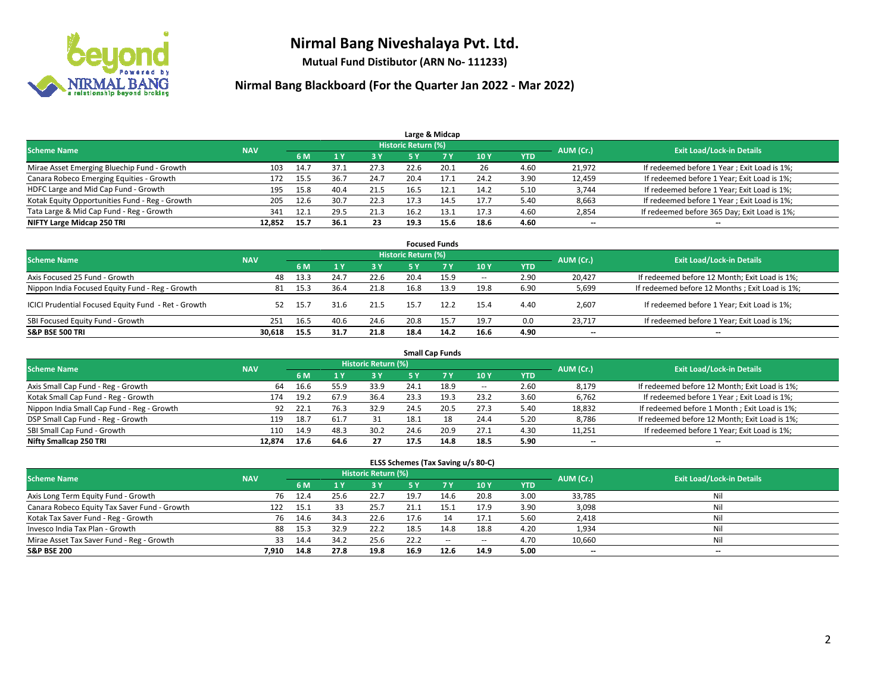

**Mutual Fund Distibutor (ARN No- 111233)**

| Large & Midcap                                 |            |      |       |      |                     |      |      |            |           |                                              |  |  |  |
|------------------------------------------------|------------|------|-------|------|---------------------|------|------|------------|-----------|----------------------------------------------|--|--|--|
| <b>Scheme Name</b>                             | <b>NAV</b> |      |       |      | Historic Return (%) |      |      |            | AUM (Cr.) | <b>Exit Load/Lock-in Details</b>             |  |  |  |
|                                                |            | 6 M  |       | 3 Y  | 5 Y                 |      | 10Y  | <b>YTD</b> |           |                                              |  |  |  |
| Mirae Asset Emerging Bluechip Fund - Growth    | 103        | 14.7 | -37.1 | 27.3 | 22.6                | 20.1 | 26   | 4.60       | 21,972    | If redeemed before 1 Year; Exit Load is 1%;  |  |  |  |
| Canara Robeco Emerging Equities - Growth       | 172        | 15.5 | 36.7  | 24.7 | 20.4                | 17.1 | 24.2 | 3.90       | 12,459    | If redeemed before 1 Year; Exit Load is 1%;  |  |  |  |
| HDFC Large and Mid Cap Fund - Growth           | 195        | 15.8 | 40.4  | 21.5 | 16.5                | 12.1 | 14.2 | 5.10       | 3,744     | If redeemed before 1 Year; Exit Load is 1%;  |  |  |  |
| Kotak Equity Opportunities Fund - Reg - Growth | 205        | 12.6 | 30.7  | 22.3 |                     | 14.5 | 17.7 | 5.40       | 8,663     | If redeemed before 1 Year; Exit Load is 1%;  |  |  |  |
| Tata Large & Mid Cap Fund - Reg - Growth       | 341        | 12.1 | 29.5  | 21.3 | 16.2                | 13.1 | 17.3 | 4.60       | 2,854     | If redeemed before 365 Day; Exit Load is 1%; |  |  |  |
| NIFTY Large Midcap 250 TRI                     | 12.852     | 15.7 | 36.1  | 23   | 19.3                | 15.6 | 18.6 | 4.60       | $- -$     | $- -$                                        |  |  |  |

| <b>Focused Funds</b>                                |            |      |      |      |                            |           |        |            |           |                                                |  |  |  |
|-----------------------------------------------------|------------|------|------|------|----------------------------|-----------|--------|------------|-----------|------------------------------------------------|--|--|--|
| <b>Scheme Name</b>                                  | <b>NAV</b> |      |      |      | <b>Historic Return (%)</b> |           |        |            | AUM (Cr.) | <b>Exit Load/Lock-in Details</b>               |  |  |  |
|                                                     |            | 6 M  | 1 Y  | 3 Y  | <b>5Y</b>                  | <b>7Y</b> | 10Y    | <b>YTD</b> |           |                                                |  |  |  |
| Axis Focused 25 Fund - Growth                       | 48         | 13.3 | 24.7 | 22.6 | 20.4                       | 15.9      | $\sim$ | 2.90       | 20.427    | If redeemed before 12 Month; Exit Load is 1%;  |  |  |  |
| Nippon India Focused Equity Fund - Reg - Growth     | 81         | 15.3 | 36.4 | 21.8 | 16.8                       | 13.9      | 19.8   | 6.90       | 5,699     | If redeemed before 12 Months; Exit Load is 1%; |  |  |  |
| ICICI Prudential Focused Equity Fund - Ret - Growth | 52         | 15.7 | 31.6 | 21.5 | 15.7                       | 12.2      | 15.4   | 4.40       | 2,607     | If redeemed before 1 Year; Exit Load is 1%;    |  |  |  |
| SBI Focused Equity Fund - Growth                    | 251        | 16.5 | 40.6 | 24.6 | 20.8                       | 15.7      | 19.7   | 0.0        | 23.717    | If redeemed before 1 Year; Exit Load is 1%;    |  |  |  |
| <b>S&amp;P BSE 500 TRI</b>                          | 30.618     | 15.5 | 31.7 | 21.8 | 18.4                       | 14.2      | 16.6   | 4.90       | $- -$     | $\overline{\phantom{a}}$                       |  |  |  |

| <b>Small Cap Funds</b>                     |            |                                  |      |      |      |      |        |            |        |                                               |  |  |  |
|--------------------------------------------|------------|----------------------------------|------|------|------|------|--------|------------|--------|-----------------------------------------------|--|--|--|
| <b>Scheme Name</b>                         | AUM (Cr.)  | <b>Exit Load/Lock-in Details</b> |      |      |      |      |        |            |        |                                               |  |  |  |
|                                            | <b>NAV</b> | 6 M                              |      | 3 Y  | 5 Y  |      | 10 Y   | <b>YTD</b> |        |                                               |  |  |  |
| Axis Small Cap Fund - Reg - Growth         | 64         | 16.6                             | 55.9 | 33.9 | 24.1 | 18.9 | $\sim$ | 2.60       | 8,179  | If redeemed before 12 Month; Exit Load is 1%; |  |  |  |
| Kotak Small Cap Fund - Reg - Growth        | 174        | 19.2                             | 67.9 | 36.4 | 23.3 |      | 23.2   | 3.60       | 6,762  | If redeemed before 1 Year; Exit Load is 1%;   |  |  |  |
| Nippon India Small Cap Fund - Reg - Growth | 92         | 22.1                             | 76.3 | 32.9 | 24.5 | 20.5 | 27.3   | 5.40       | 18,832 | If redeemed before 1 Month; Exit Load is 1%;  |  |  |  |
| DSP Small Cap Fund - Reg - Growth          | 119        | 18.7                             | 61.7 | 31   | 18.1 | 18   | 24.4   | 5.20       | 8,786  | If redeemed before 12 Month; Exit Load is 1%; |  |  |  |
| SBI Small Cap Fund - Growth                | 110        | 14.9                             | 48.3 | 30.2 | 24.6 | 20.9 | 27.1   | 4.30       | 11,251 | If redeemed before 1 Year; Exit Load is 1%;   |  |  |  |
| Nifty Smallcap 250 TRI                     | 12.874     | 17.6                             | 64.6 | 27   | 17.5 | 14.8 | 18.5   | 5.90       | $- -$  | $- -$                                         |  |  |  |

| ELSS Schemes (Tax Saving u/s 80-C)           |            |                                  |      |      |      |           |        |            |                          |       |  |  |  |
|----------------------------------------------|------------|----------------------------------|------|------|------|-----------|--------|------------|--------------------------|-------|--|--|--|
| <b>Scheme Name</b>                           | AUM (Cr.)  | <b>Exit Load/Lock-in Details</b> |      |      |      |           |        |            |                          |       |  |  |  |
|                                              | <b>NAV</b> | 6 M                              |      | 3 Y  | 5 Y  | <b>7Y</b> | 10Y    | <b>YTD</b> |                          |       |  |  |  |
| Axis Long Term Equity Fund - Growth          | 76         | 12.4                             | 25.6 | 22.7 | 19.7 | 14.6      | 20.8   | 3.00       | 33,785                   | Nil   |  |  |  |
| Canara Robeco Equity Tax Saver Fund - Growth | 122        | 15.1                             | 33   | 25.7 | 21.1 | 15.1      | 17.9   | 3.90       | 3,098                    | Nil   |  |  |  |
| Kotak Tax Saver Fund - Reg - Growth          | 76         | 14.6                             | 34.3 | 22.6 | 17.6 | 14        | 17.1   | 5.60       | 2,418                    | Nil   |  |  |  |
| Invesco India Tax Plan - Growth              | 88         | 15.3                             | 32.9 | 22.2 | 18.5 | 14.8      | 18.8   | 4.20       | 1,934                    | Nil   |  |  |  |
| Mirae Asset Tax Saver Fund - Reg - Growth    | 33         | 14.4                             | 34.2 | 25.6 | 22.2 | $\sim$    | $\sim$ | 4.70       | 10,660                   | Nil   |  |  |  |
| <b>S&amp;P BSE 200</b>                       | 7.910      | 14.8                             | 27.8 | 19.8 | 16.9 | 12.6      | 14.9   | 5.00       | $\overline{\phantom{a}}$ | $- -$ |  |  |  |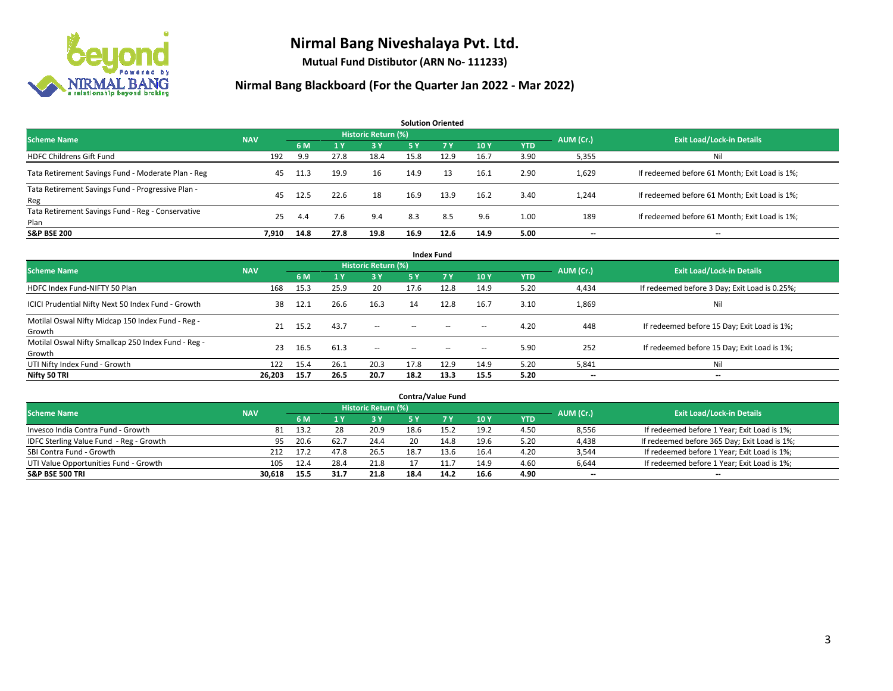

**Mutual Fund Distibutor (ARN No- 111233)**

| <b>Solution Oriented</b>                                  |            |      |      |                     |           |      |      |            |           |                                               |  |  |  |
|-----------------------------------------------------------|------------|------|------|---------------------|-----------|------|------|------------|-----------|-----------------------------------------------|--|--|--|
| <b>Scheme Name</b>                                        | <b>NAV</b> |      |      | Historic Return (%) |           |      |      |            | AUM (Cr.) | <b>Exit Load/Lock-in Details</b>              |  |  |  |
|                                                           |            | 6 M  | 71 Y | -3 Y                | <b>5Y</b> | 7 Y  | 10Y  | <b>YTD</b> |           |                                               |  |  |  |
| <b>HDFC Childrens Gift Fund</b>                           | 192        | 9.9  | 27.8 | 18.4                | 15.8      | 12.9 | 16.7 | 3.90       | 5,355     | Nil                                           |  |  |  |
| Tata Retirement Savings Fund - Moderate Plan - Reg        | 45         | 11.3 | 19.9 | 16                  | 14.9      | -13  | 16.1 | 2.90       | 1,629     | If redeemed before 61 Month; Exit Load is 1%; |  |  |  |
| Tata Retirement Savings Fund - Progressive Plan -<br>Reg  | 45         | 12.5 | 22.6 | 18                  | 16.9      | 13.9 | 16.2 | 3.40       | 1,244     | If redeemed before 61 Month; Exit Load is 1%; |  |  |  |
| Tata Retirement Savings Fund - Reg - Conservative<br>Plan | 25         | 4.4  | 7.6  | 9.4                 | 8.3       | 8.5  | 9.6  | 1.00       | 189       | If redeemed before 61 Month; Exit Load is 1%; |  |  |  |
| <b>S&amp;P BSE 200</b>                                    | 7.910      | 14.8 | 27.8 | 19.8                | 16.9      | 12.6 | 14.9 | 5.00       | --        | --                                            |  |  |  |

| <b>Index Fund</b>                                             |            |      |              |                     |           |                                                |                          |            |           |                                               |  |  |  |
|---------------------------------------------------------------|------------|------|--------------|---------------------|-----------|------------------------------------------------|--------------------------|------------|-----------|-----------------------------------------------|--|--|--|
| <b>Scheme Name</b>                                            | <b>NAV</b> |      |              | Historic Return (%) |           |                                                |                          |            | AUM (Cr.) | <b>Exit Load/Lock-in Details</b>              |  |  |  |
|                                                               |            | 6 M  | $\sqrt{1}$ Y | <b>3Y</b>           | <b>5Y</b> | 7 <sub>V</sub>                                 | <b>10Y</b>               | <b>YTD</b> |           |                                               |  |  |  |
| HDFC Index Fund-NIFTY 50 Plan                                 | 168        | 15.3 | 25.9         | 20                  | 17.6      | 12.8                                           | 14.9                     | 5.20       | 4,434     | If redeemed before 3 Day; Exit Load is 0.25%; |  |  |  |
| ICICI Prudential Nifty Next 50 Index Fund - Growth            | 38         | 12.1 | 26.6         | 16.3                | 14        | 12.8                                           | 16.7                     | 3.10       | 1,869     | Nil                                           |  |  |  |
| Motilal Oswal Nifty Midcap 150 Index Fund - Reg -<br>Growth   | 21         | 15.2 | 43.7         | $\sim$              | $\sim$    | $\sim$                                         | $\hspace{0.05cm}$        | 4.20       | 448       | If redeemed before 15 Day; Exit Load is 1%;   |  |  |  |
| Motilal Oswal Nifty Smallcap 250 Index Fund - Reg -<br>Growth | 23         | 16.5 | 61.3         | $\sim$              | $\sim$    | $\hspace{0.1mm}-\hspace{0.1mm}-\hspace{0.1mm}$ | $\hspace{0.05cm} \cdots$ | 5.90       | 252       | If redeemed before 15 Day; Exit Load is 1%;   |  |  |  |
| UTI Nifty Index Fund - Growth                                 | 122        | 15.4 | 26.1         | 20.3                | 17.8      | 12.9                                           | 14.9                     | 5.20       | 5,841     | Nil                                           |  |  |  |
| Nifty 50 TRI                                                  | 26,203     | 15.7 | 26.5         | 20.7                | 18.2      | 13.3                                           | 15.5                     | 5.20       | $- -$     | $\overline{\phantom{a}}$                      |  |  |  |

| <b>Contra/Value Fund</b>                |            |      |      |                            |      |      |      |      |           |                                              |  |  |  |
|-----------------------------------------|------------|------|------|----------------------------|------|------|------|------|-----------|----------------------------------------------|--|--|--|
| <b>Scheme Name</b>                      | <b>NAV</b> |      |      | <b>Historic Return (%)</b> |      |      |      |      | AUM (Cr.) | <b>Exit Load/Lock-in Details</b>             |  |  |  |
|                                         |            | 6 M  |      | <b>3Y</b>                  |      | 7 Y  | 10Y  | YTD  |           |                                              |  |  |  |
| Invesco India Contra Fund - Growth      | 81         | 13.2 | 28   | 20.9                       | 18.6 | 15.2 | 19.2 | 4.50 | 8,556     | If redeemed before 1 Year; Exit Load is 1%;  |  |  |  |
| IDFC Sterling Value Fund - Reg - Growth | 95         | 20.6 | 62.7 | 24.4                       | 20   | 14.8 | 19.6 | 5.20 | 4,438     | If redeemed before 365 Day; Exit Load is 1%; |  |  |  |
| SBI Contra Fund - Growth                | 212        | 17.2 | 47.8 | 26.5                       | 18.7 | 13.6 | 16.4 | 4.20 | 3,544     | If redeemed before 1 Year; Exit Load is 1%;  |  |  |  |
| UTI Value Opportunities Fund - Growth   | 105        | 12.4 | 28.4 | 21.8                       |      |      | 14.9 | 4.60 | 6,644     | If redeemed before 1 Year; Exit Load is 1%;  |  |  |  |
| <b>S&amp;P BSE 500 TRI</b>              | 30,618     | 15.5 | 31.7 | 21.8                       | 18.4 | 14.2 | 16.6 | 4.90 | $-$       | $- -$                                        |  |  |  |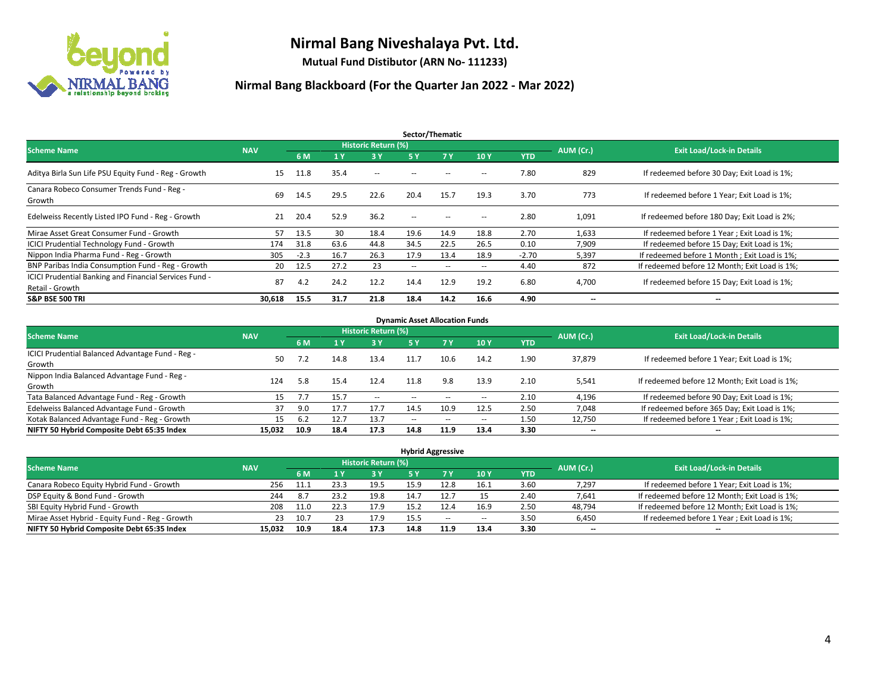

**Mutual Fund Distibutor (ARN No- 111233)**

| Sector/Thematic                                                           |            |        |      |                     |                          |        |       |            |                          |                                               |  |  |
|---------------------------------------------------------------------------|------------|--------|------|---------------------|--------------------------|--------|-------|------------|--------------------------|-----------------------------------------------|--|--|
| <b>Scheme Name</b>                                                        | <b>NAV</b> |        |      | Historic Return (%) |                          |        |       |            | AUM (Cr.)                | <b>Exit Load/Lock-in Details</b>              |  |  |
|                                                                           |            | 6 M    | 1V   | 3Y                  | 5 Y                      | 7Y     | 10Y   | <b>YTD</b> |                          |                                               |  |  |
| Aditya Birla Sun Life PSU Equity Fund - Reg - Growth                      | 15         | 11.8   | 35.4 | $\sim$ $-$          |                          |        | --    | 7.80       | 829                      | If redeemed before 30 Day; Exit Load is 1%;   |  |  |
| Canara Robeco Consumer Trends Fund - Reg -<br>Growth                      | 69         | 14.5   | 29.5 | 22.6                | 20.4                     | 15.7   | 19.3  | 3.70       | 773                      | If redeemed before 1 Year: Exit Load is 1%:   |  |  |
| Edelweiss Recently Listed IPO Fund - Reg - Growth                         | 21         | 20.4   | 52.9 | 36.2                | $\overline{\phantom{a}}$ |        | --    | 2.80       | 1,091                    | If redeemed before 180 Day; Exit Load is 2%;  |  |  |
| Mirae Asset Great Consumer Fund - Growth                                  | 57         | 13.5   | 30   | 18.4                | 19.6                     | 14.9   | 18.8  | 2.70       | 1,633                    | If redeemed before 1 Year; Exit Load is 1%;   |  |  |
| <b>ICICI Prudential Technology Fund - Growth</b>                          | 174        | 31.8   | 63.6 | 44.8                | 34.5                     | 22.5   | 26.5  | 0.10       | 7,909                    | If redeemed before 15 Day; Exit Load is 1%;   |  |  |
| Nippon India Pharma Fund - Reg - Growth                                   | 305        | $-2.3$ | 16.7 | 26.3                | 17.9                     | 13.4   | 18.9  | $-2.70$    | 5,397                    | If redeemed before 1 Month; Exit Load is 1%;  |  |  |
| BNP Paribas India Consumption Fund - Reg - Growth                         | 20         | 12.5   | 27.2 | 23                  | $\overline{\phantom{a}}$ | $\sim$ | $\!-$ | 4.40       | 872                      | If redeemed before 12 Month; Exit Load is 1%; |  |  |
| ICICI Prudential Banking and Financial Services Fund -<br>Retail - Growth | 87         | 4.2    | 24.2 | 12.2                | 14.4                     | 12.9   | 19.2  | 6.80       | 4,700                    | If redeemed before 15 Day; Exit Load is 1%;   |  |  |
| <b>S&amp;P BSE 500 TRI</b>                                                | 30,618     | 15.5   | 31.7 | 21.8                | 18.4                     | 14.2   | 16.6  | 4.90       | $\overline{\phantom{a}}$ | $\overline{\phantom{a}}$                      |  |  |

| <b>Dynamic Asset Allocation Funds</b>            |            |      |      |                            |            |                          |                          |            |           |                                               |  |  |  |
|--------------------------------------------------|------------|------|------|----------------------------|------------|--------------------------|--------------------------|------------|-----------|-----------------------------------------------|--|--|--|
| <b>Scheme Name</b>                               | <b>NAV</b> |      |      | <b>Historic Return (%)</b> |            |                          |                          |            | AUM (Cr.) | <b>Exit Load/Lock-in Details</b>              |  |  |  |
|                                                  |            | 6 M  |      | <b>3 Y</b>                 | <b>5 Y</b> | 7Y                       | 10Y                      | <b>YTD</b> |           |                                               |  |  |  |
| ICICI Prudential Balanced Advantage Fund - Reg - | 50         |      | 14.8 |                            |            | 10.6                     | 14.2                     |            |           |                                               |  |  |  |
| Growth                                           |            |      |      | 13.4                       | 11.7       |                          |                          | 1.90       | 37,879    | If redeemed before 1 Year; Exit Load is 1%;   |  |  |  |
| Nippon India Balanced Advantage Fund - Reg -     | 124        | 5.8  |      | 12.4                       | 11.8       |                          |                          | 2.10       |           |                                               |  |  |  |
| Growth                                           |            |      | 15.4 |                            |            | 9.8                      | 13.9                     |            | 5,541     | If redeemed before 12 Month; Exit Load is 1%; |  |  |  |
| Tata Balanced Advantage Fund - Reg - Growth      |            |      | 15.7 | $\overline{\phantom{a}}$   | --         |                          | --                       | 2.10       | 4,196     | If redeemed before 90 Day; Exit Load is 1%;   |  |  |  |
| Edelweiss Balanced Advantage Fund - Growth       |            | 9.0  | 17.7 | 17.7                       | 14.5       | 10.9                     | 12.5                     | 2.50       | 7,048     | If redeemed before 365 Day; Exit Load is 1%;  |  |  |  |
| Kotak Balanced Advantage Fund - Reg - Growth     | 15         | 6.2  |      | 13.7                       | $-$        | $\overline{\phantom{a}}$ | $\overline{\phantom{a}}$ | 1.50       | 12,750    | If redeemed before 1 Year; Exit Load is 1%;   |  |  |  |
| NIFTY 50 Hybrid Composite Debt 65:35 Index       | 15.032     | 10.9 | 18.4 | 17.3                       | 14.8       | 11.9                     | 13.4                     | 3.30       | $- -$     | $\overline{\phantom{a}}$                      |  |  |  |

| <b>Hybrid Aggressive</b>                        |            |      |      |                            |      |       |      |      |                          |                                               |  |  |  |
|-------------------------------------------------|------------|------|------|----------------------------|------|-------|------|------|--------------------------|-----------------------------------------------|--|--|--|
| <b>Scheme Name</b>                              | <b>NAV</b> |      |      | <b>Historic Return (%)</b> |      |       |      |      | AUM (Cr.)                | <b>Exit Load/Lock-in Details</b>              |  |  |  |
|                                                 |            | 6 M  |      | <b>3Y</b>                  | 5 Y  |       | 10Y  | YTD  |                          |                                               |  |  |  |
| Canara Robeco Equity Hybrid Fund - Growth       | 256        | 11.1 | 23.3 | 19.5                       | 15.9 | 12.8  | 16.1 | 3.60 | 7,297                    | If redeemed before 1 Year; Exit Load is 1%;   |  |  |  |
| DSP Equity & Bond Fund - Growth                 | 244        | 8.7  | 23.2 | 19.8                       | 14.7 | 12.   |      | 2.40 | 7,641                    | If redeemed before 12 Month; Exit Load is 1%; |  |  |  |
| SBI Equity Hybrid Fund - Growth                 | 208        | 11.0 | 22.3 | 17.9                       | 15.2 | 12.4  | 16.9 | 2.50 | 48,794                   | If redeemed before 12 Month; Exit Load is 1%; |  |  |  |
| Mirae Asset Hybrid - Equity Fund - Reg - Growth | 23         | 10.7 |      | 17.9                       | 15.5 | $- -$ | --   | 3.50 | 6,450                    | If redeemed before 1 Year; Exit Load is 1%;   |  |  |  |
| NIFTY 50 Hybrid Composite Debt 65:35 Index      | 15.032     | 10.9 | 18.4 | 17.3                       | 14.8 | 11.9  | 13.4 | 3.30 | $\overline{\phantom{a}}$ | $\overline{\phantom{a}}$                      |  |  |  |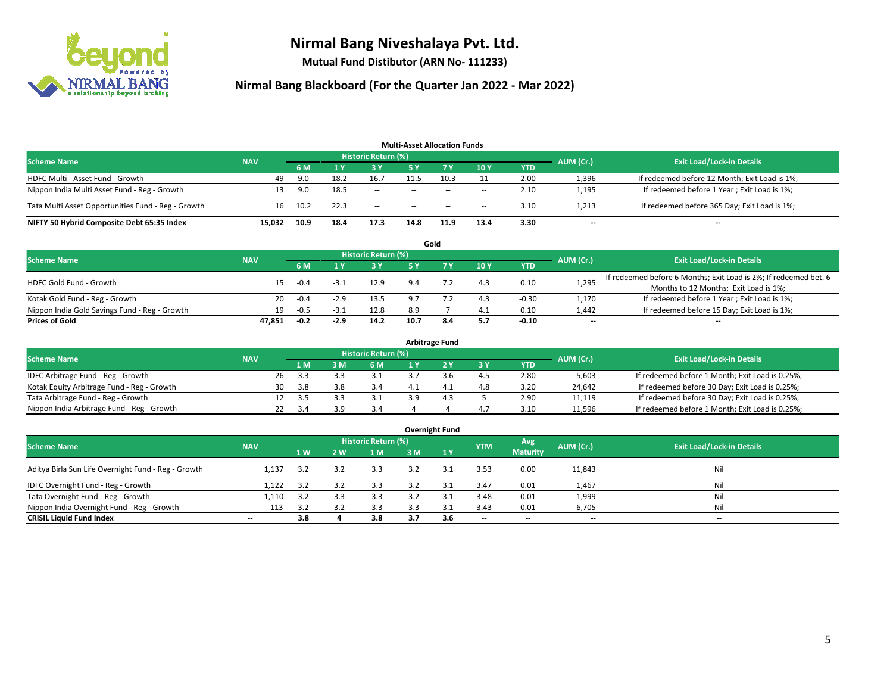

**Mutual Fund Distibutor (ARN No- 111233)**

| <b>Multi-Asset Allocation Funds</b>                |            |      |      |                            |                          |           |                          |            |           |                                               |  |  |  |
|----------------------------------------------------|------------|------|------|----------------------------|--------------------------|-----------|--------------------------|------------|-----------|-----------------------------------------------|--|--|--|
| <b>Scheme Name</b>                                 | <b>NAV</b> |      |      | <b>Historic Return (%)</b> |                          |           |                          |            | AUM (Cr.) | <b>Exit Load/Lock-in Details</b>              |  |  |  |
|                                                    |            | 6 M  |      | <b>3 Y</b>                 | 5 Y                      | <b>7Y</b> | 10Y                      | <b>YTD</b> |           |                                               |  |  |  |
| HDFC Multi - Asset Fund - Growth                   | 49         | 9.0  | 18.2 | 16.7                       | 11.5                     | 10.3      |                          | 2.00       | 1,396     | If redeemed before 12 Month; Exit Load is 1%; |  |  |  |
| Nippon India Multi Asset Fund - Reg - Growth       | 13         | 9.0  | 18.5 | $\sim$                     | $\overline{\phantom{a}}$ | $\sim$    | $\overline{\phantom{a}}$ | 2.10       | 1,195     | If redeemed before 1 Year; Exit Load is 1%;   |  |  |  |
| Tata Multi Asset Opportunities Fund - Reg - Growth | 16         | 10.2 | 22.3 | $- -$                      | $\overline{\phantom{a}}$ | $-$       | $- -$                    | 3.10       | 1,213     | If redeemed before 365 Day; Exit Load is 1%;  |  |  |  |
| NIFTY 50 Hybrid Composite Debt 65:35 Index         | 15.032     | 10.9 | 18.4 | 17.3                       | 14.8                     | 11.9      | 13.4                     | 3.30       | --        | --                                            |  |  |  |

|                                               |            |        |        |                            |      | Gold |     |            |           |                                                                  |
|-----------------------------------------------|------------|--------|--------|----------------------------|------|------|-----|------------|-----------|------------------------------------------------------------------|
| <b>Scheme Name</b>                            | <b>NAV</b> |        |        | <b>Historic Return (%)</b> |      |      |     |            | AUM (Cr.) | <b>Exit Load/Lock-in Details</b>                                 |
|                                               |            | 6 M    |        | 3 Y                        | ς γ  |      | 10Y | <b>YTD</b> |           |                                                                  |
| <b>HDFC Gold Fund - Growth</b>                | 15         | $-0.4$ | $-3.1$ | 12.9                       | 9.4  |      | 4.3 | 0.10       | 1,295     | If redeemed before 6 Months; Exit Load is 2%; If redeemed bet. 6 |
|                                               |            |        |        |                            |      |      |     |            |           | Months to 12 Months; Exit Load is 1%;                            |
| Kotak Gold Fund - Reg - Growth                | 20         | $-0.4$ | $-2.9$ | 13.5                       | 9.7  |      | 4.3 | $-0.30$    | 1,170     | If redeemed before 1 Year; Exit Load is 1%;                      |
| Nippon India Gold Savings Fund - Reg - Growth | 19         | -0.5   | $-3.1$ | 12.8                       | 8.9  |      | 4.1 | 0.10       | 1,442     | If redeemed before 15 Day; Exit Load is 1%;                      |
| <b>Prices of Gold</b>                         | 47.851     | $-0.2$ | $-2.9$ | 14.2                       | 10.7 | 8.4  | 5.7 | $-0.10$    | $- -$     | $\overline{\phantom{a}}$                                         |

| <b>Arbitrage Fund</b>                      |            |    |      |     |                     |     |  |     |            |           |                                                 |  |  |
|--------------------------------------------|------------|----|------|-----|---------------------|-----|--|-----|------------|-----------|-------------------------------------------------|--|--|
| <b>Scheme Name</b>                         | <b>NAV</b> |    |      |     | Historic Return (%) |     |  |     |            | AUM (Cr.) | <b>Exit Load/Lock-in Details</b>                |  |  |
|                                            |            |    | 1 M  | l M | 6 M                 |     |  | 3Y  | <b>YTD</b> |           |                                                 |  |  |
| IDFC Arbitrage Fund - Reg - Growth         |            | 26 | 3.3  |     |                     |     |  | 4.5 | 2.80       | 5,603     | If redeemed before 1 Month; Exit Load is 0.25%; |  |  |
| Kotak Equity Arbitrage Fund - Reg - Growth |            | 30 | -3.8 |     | 3.4                 |     |  | 4.8 | 3.20       | 24,642    | If redeemed before 30 Day; Exit Load is 0.25%;  |  |  |
| Tata Arbitrage Fund - Reg - Growth         |            |    | 3.5  |     |                     | 3 Q |  |     | 2.90       | 11.119    | If redeemed before 30 Day; Exit Load is 0.25%;  |  |  |
| Nippon India Arbitrage Fund - Reg - Growth |            |    | -3.4 |     | 3.4                 |     |  | 4.7 | 3.10       | 11,596    | If redeemed before 1 Month; Exit Load is 0.25%; |  |  |

|                                                     |                          |     |     |                            |     | <b>Overnight Fund</b> |                          |                 |                          |                                  |
|-----------------------------------------------------|--------------------------|-----|-----|----------------------------|-----|-----------------------|--------------------------|-----------------|--------------------------|----------------------------------|
| <b>Scheme Name</b>                                  | <b>NAV</b>               |     |     | <b>Historic Return (%)</b> |     |                       | <b>YTM</b>               | Avg             | AUM (Cr.)                | <b>Exit Load/Lock-in Details</b> |
|                                                     |                          | 1W  | 2 W | 1 M                        | 3 M | 1Y                    |                          | <b>Maturity</b> |                          |                                  |
| Aditya Birla Sun Life Overnight Fund - Reg - Growth | 1.137                    | 3.2 | 3.2 | 3.3                        | 3.2 | 3.1                   | 3.53                     | 0.00            | 11,843                   | Nil                              |
| IDFC Overnight Fund - Reg - Growth                  | 1,122                    | 3.2 | 3.2 | 3.3                        | 3.2 | 3.1                   | 3.47                     | 0.01            | 1,467                    | Nil                              |
| Tata Overnight Fund - Reg - Growth                  | 1,110                    | 3.2 | 3.3 | 3.3                        | 3.2 | $\mathbf{a}$          | 3.48                     | 0.01            | 1,999                    | Nil                              |
| Nippon India Overnight Fund - Reg - Growth          | 113                      | 3.2 |     | 3.3                        |     |                       | 3.43                     | 0.01            | 6,705                    | Nil                              |
| <b>CRISIL Liquid Fund Index</b>                     | $\overline{\phantom{a}}$ | 3.8 |     | 3.8                        | 3.7 | 3.6                   | $\overline{\phantom{a}}$ | $- -$           | $\overline{\phantom{a}}$ | $-$                              |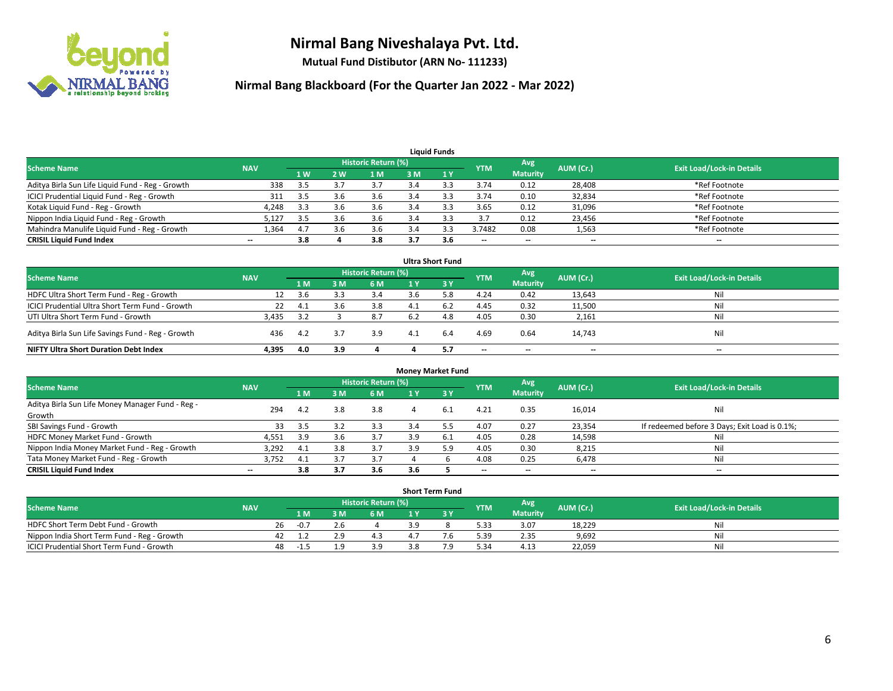

**Mutual Fund Distibutor (ARN No- 111233)**

| <b>Liquid Funds</b>                              |                          |                |     |                            |     |     |                          |                          |           |                                  |  |  |  |
|--------------------------------------------------|--------------------------|----------------|-----|----------------------------|-----|-----|--------------------------|--------------------------|-----------|----------------------------------|--|--|--|
| <b>Scheme Name</b>                               | <b>NAV</b>               |                |     | <b>Historic Return (%)</b> |     |     | <b>YTM</b>               | Avg                      | AUM (Cr.) | <b>Exit Load/Lock-in Details</b> |  |  |  |
|                                                  |                          | 1 <sub>W</sub> | 2 W | 1 M                        | 3 M |     |                          | <b>Maturity</b>          |           |                                  |  |  |  |
| Aditya Birla Sun Life Liquid Fund - Reg - Growth | 338                      | 3.5            |     | 3.7                        |     |     | 3.74                     | 0.12                     | 28,408    | *Ref Footnote                    |  |  |  |
| ICICI Prudential Liquid Fund - Reg - Growth      | 311                      | 3.5            | 3.6 | 3.6                        | 3.4 |     | 3.74                     | 0.10                     | 32,834    | *Ref Footnote                    |  |  |  |
| Kotak Liquid Fund - Reg - Growth                 | 4,248                    | 3.3            | 3.b | 3.6                        |     |     | 3.65                     | 0.12                     | 31,096    | *Ref Footnote                    |  |  |  |
| Nippon India Liquid Fund - Reg - Growth          | 5,127                    | 3.5            |     | 3.6                        |     |     | 3.7                      | 0.12                     | 23,456    | *Ref Footnote                    |  |  |  |
| Mahindra Manulife Liquid Fund - Reg - Growth     | 1,364                    | 4.7            | 3.6 | 3.6                        |     |     | 3.7482                   | 0.08                     | 1,563     | *Ref Footnote                    |  |  |  |
| <b>CRISIL Liquid Fund Index</b>                  | $\overline{\phantom{a}}$ | 3.8            |     | 3.8                        | 3.7 | 3.6 | $\overline{\phantom{a}}$ | $\overline{\phantom{a}}$ | $- -$     | $- -$                            |  |  |  |

|                                                   |            |     |     |                            |     | <b>Ultra Short Fund</b> |            |                 |           |                                  |
|---------------------------------------------------|------------|-----|-----|----------------------------|-----|-------------------------|------------|-----------------|-----------|----------------------------------|
| <b>Scheme Name</b>                                | <b>NAV</b> |     |     | <b>Historic Return (%)</b> |     |                         | <b>YTM</b> | Avg             | AUM (Cr.) | <b>Exit Load/Lock-in Details</b> |
|                                                   |            | 1 M | 3 M | 6 M                        | 1 Y | 3 Y                     |            | <b>Maturity</b> |           |                                  |
| HDFC Ultra Short Term Fund - Reg - Growth         |            | 3.6 |     | 3.4                        | 3.6 | 5.8                     | 4.24       | 0.42            | 13,643    | Nil                              |
| ICICI Prudential Ultra Short Term Fund - Growth   | 22         | 4.1 |     | 3.8                        |     | 6.2                     | 4.45       | 0.32            | 11,500    | Nil                              |
| UTI Ultra Short Term Fund - Growth                | 3.435      | 3.2 |     | 8.7                        | 6.2 | 4.8                     | 4.05       | 0.30            | 2,161     | Nil                              |
| Aditya Birla Sun Life Savings Fund - Reg - Growth | 436        | 4.2 |     | 3.9                        | 4.1 | 6.4                     | 4.69       | 0.64            | 14,743    | Nil                              |
| <b>NIFTY Ultra Short Duration Debt Index</b>      | 4,395      | 4.0 | 3.9 |                            |     | 5.7                     | $- -$      | $- -$           | $- -$     | $-$                              |

| <b>Money Market Fund</b>                         |            |     |     |                            |     |     |                          |                 |           |                                               |  |  |
|--------------------------------------------------|------------|-----|-----|----------------------------|-----|-----|--------------------------|-----------------|-----------|-----------------------------------------------|--|--|
| <b>Scheme Name</b>                               | <b>NAV</b> |     |     | <b>Historic Return (%)</b> |     |     | <b>YTM</b>               | Avg             | AUM (Cr.) | <b>Exit Load/Lock-in Details</b>              |  |  |
|                                                  |            | 1 M | 3M  | 6 M                        | 1 Y | 3Y  |                          | <b>Maturity</b> |           |                                               |  |  |
| Aditya Birla Sun Life Money Manager Fund - Reg - | 294        | 4.2 | 3.8 | 3.8                        | 4   | 6.1 | 4.21                     | 0.35            | 16,014    | Nil                                           |  |  |
| Growth                                           |            |     |     |                            |     |     |                          |                 |           |                                               |  |  |
| SBI Savings Fund - Growth                        | 33         | 3.5 |     | 3.3                        | 3.4 |     | 4.07                     | 0.27            | 23,354    | If redeemed before 3 Days; Exit Load is 0.1%; |  |  |
| HDFC Money Market Fund - Growth                  | 4,551      | 3.9 |     | 3.7                        | 3.9 | 6.1 | 4.05                     | 0.28            | 14,598    | Nil                                           |  |  |
| Nippon India Money Market Fund - Reg - Growth    | 3,292      | 4.1 |     | 3.7                        | 3.9 | 5.9 | 4.05                     | 0.30            | 8,215     | Nil                                           |  |  |
| Tata Money Market Fund - Reg - Growth            | 3,752      | 4.1 | э., | 3.7                        |     |     | 4.08                     | 0.25            | 6,478     | Nil                                           |  |  |
| <b>CRISIL Liquid Fund Index</b>                  | $-$        | 3.8 | 3.7 | 3.6                        | 3.6 |     | $\overline{\phantom{a}}$ | --              | $- -$     | $- -$                                         |  |  |

| <b>Short Term Fund</b>                      |            |    |        |  |                     |     |  |            |                 |           |                                  |  |  |  |
|---------------------------------------------|------------|----|--------|--|---------------------|-----|--|------------|-----------------|-----------|----------------------------------|--|--|--|
| Scheme Name                                 | <b>NAV</b> |    |        |  | Historic Return (%) |     |  | <b>YTM</b> | Avg             | AUM (Cr.) | <b>Exit Load/Lock-in Details</b> |  |  |  |
|                                             |            |    | 1 M    |  | 6 M                 |     |  |            | <b>Maturity</b> |           |                                  |  |  |  |
| HDFC Short Term Debt Fund - Growth          |            | 26 | $-0.7$ |  |                     |     |  | 5.33       | 3.07            | 18,229    | Nil                              |  |  |  |
| Nippon India Short Term Fund - Reg - Growth |            | 42 |        |  |                     |     |  | 5.39       | 2.35            | 9,692     | Nil                              |  |  |  |
| ICICI Prudential Short Term Fund - Growth   |            | 48 | -1.5   |  | 3.9                 | 3.8 |  | 5.34       | 4.13            | 22,059    | Nil                              |  |  |  |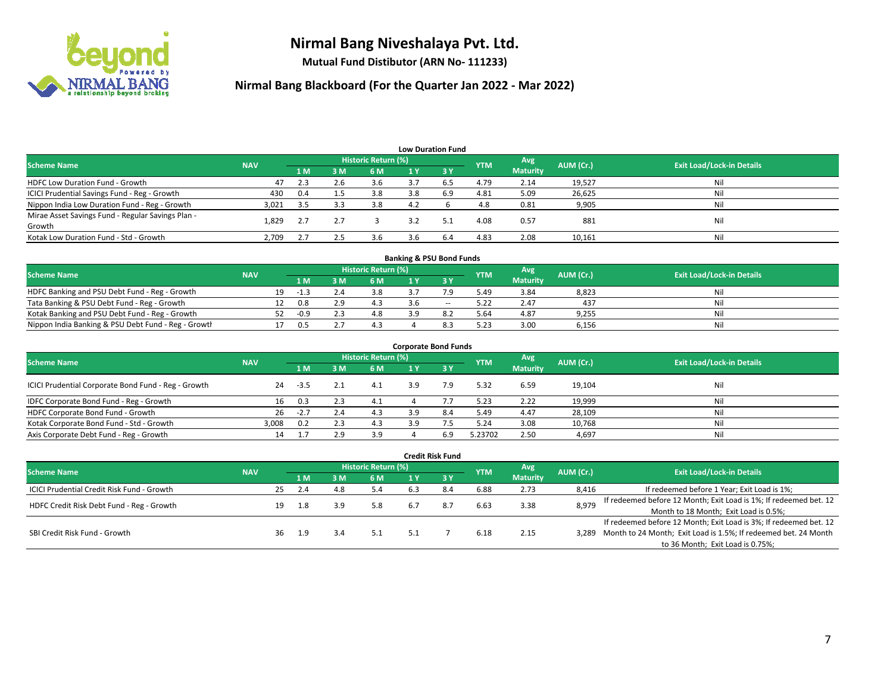

**Mutual Fund Distibutor (ARN No- 111233)**

| <b>Low Duration Fund</b>                          |            |      |         |                     |     |                  |            |                 |           |                                  |  |  |  |
|---------------------------------------------------|------------|------|---------|---------------------|-----|------------------|------------|-----------------|-----------|----------------------------------|--|--|--|
| <b>Scheme Name</b>                                | <b>NAV</b> |      |         | Historic Return (%) |     |                  | <b>YTM</b> | Avg             | AUM (Cr.) | <b>Exit Load/Lock-in Details</b> |  |  |  |
|                                                   |            | 1 M  | 3M      | 6 M                 | 1 Y | $\overline{3}$ Y |            | <b>Maturity</b> |           |                                  |  |  |  |
| <b>HDFC Low Duration Fund - Growth</b>            | 47         | 2.3  | 2.6     | 3.6                 | 37  | 6.5              | 4.79       | 2.14            | 19,527    | Nil                              |  |  |  |
| ICICI Prudential Savings Fund - Reg - Growth      | 430        | 0.4  | $1.5\,$ | 3.8                 | 3.8 | 6.9              | 4.81       | 5.09            | 26,625    | Nil                              |  |  |  |
| Nippon India Low Duration Fund - Reg - Growth     | 3,021      | -3.5 | 3.3     | 3.8                 | 4.2 |                  | 4.8        | 0.81            | 9,905     | Nil                              |  |  |  |
| Mirae Asset Savings Fund - Regular Savings Plan - | 1.829      | 2.7  |         |                     | 3.2 | 5.1              | 4.08       | 0.57            | 881       | Nil                              |  |  |  |
| Growth                                            |            |      |         |                     |     |                  |            |                 |           |                                  |  |  |  |
| Kotak Low Duration Fund - Std - Growth            | 2,709      | 2.7  | 2.5     | 3.6                 |     | 6.4              | 4.83       | 2.08            | 10,161    | Nil                              |  |  |  |

| <b>Banking &amp; PSU Bond Funds</b>                 |            |    |        |  |                     |    |       |            |                 |           |                                  |  |  |  |
|-----------------------------------------------------|------------|----|--------|--|---------------------|----|-------|------------|-----------------|-----------|----------------------------------|--|--|--|
| <b>Scheme Name</b>                                  | <b>NAV</b> |    |        |  | Historic Return (%) |    |       | <b>YTM</b> | Avg             | AUM (Cr.) | <b>Exit Load/Lock-in Details</b> |  |  |  |
|                                                     |            |    | 1 M I  |  | 6 M                 |    |       |            | <b>Maturity</b> |           |                                  |  |  |  |
| HDFC Banking and PSU Debt Fund - Reg - Growth       |            | 19 | $-1.5$ |  | 3.8                 |    |       | 5.49       | 3.84            | 8,823     | Nil                              |  |  |  |
| Tata Banking & PSU Debt Fund - Reg - Growth         |            |    | 0.8    |  |                     |    | $- -$ | 5.22       | 2.47            | 437       | Nil                              |  |  |  |
| Kotak Banking and PSU Debt Fund - Reg - Growth      |            | 52 | $-0.9$ |  | 4.8                 | ۱q |       | 5.64       | 4.87            | 9,255     | Nil                              |  |  |  |
| Nippon India Banking & PSU Debt Fund - Reg - Growth |            |    | 0.5    |  |                     |    |       | 5.23       | 3.00            | 6,156     | Nil                              |  |  |  |

| <b>Corporate Bond Funds</b>                         |            |        |     |                            |     |           |            |                 |           |                                  |  |
|-----------------------------------------------------|------------|--------|-----|----------------------------|-----|-----------|------------|-----------------|-----------|----------------------------------|--|
| <b>Scheme Name</b>                                  | <b>NAV</b> |        |     | <b>Historic Return (%)</b> |     |           |            | Avg             | AUM (Cr.) | <b>Exit Load/Lock-in Details</b> |  |
|                                                     |            | 1 M    | 3 M | 6 M                        |     | <b>3Y</b> | <b>YTM</b> | <b>Maturity</b> |           |                                  |  |
| ICICI Prudential Corporate Bond Fund - Reg - Growth | 24         | $-3.5$ |     | 4.1                        | 3.9 | 7.9       | 5.32       | 6.59            | 19,104    | Nil                              |  |
| IDFC Corporate Bond Fund - Reg - Growth             | 16         | 0.3    |     | 4.1                        |     |           | 5.23       | 2.22            | 19,999    | Nil                              |  |
| HDFC Corporate Bond Fund - Growth                   | 26         | $-2.7$ |     | 4.3                        | 3.9 | 8.4       | 5.49       | 4.47            | 28,109    | Nil                              |  |
| Kotak Corporate Bond Fund - Std - Growth            | 3.008      | 0.2    |     | 4.3                        | 3.9 |           | 5.24       | 3.08            | 10,768    | Nil                              |  |
| Axis Corporate Debt Fund - Reg - Growth             | 14         |        |     | 3.9                        |     | 6.9       | 5.23702    | 2.50            | 4,697     | Nil                              |  |

|                                                   |            |    |     |     |                            |     | <b>Credit Risk Fund</b> |            |                        |           |                                                                       |
|---------------------------------------------------|------------|----|-----|-----|----------------------------|-----|-------------------------|------------|------------------------|-----------|-----------------------------------------------------------------------|
| <b>Scheme Name</b>                                | <b>NAV</b> |    |     |     | <b>Historic Return (%)</b> |     |                         | <b>YTM</b> | Avg<br><b>Maturity</b> | AUM (Cr.) | <b>Exit Load/Lock-in Details</b>                                      |
|                                                   |            |    | 1 M | 3 M | 6 M                        | 1 Y | $\sqrt{3}$ Y            |            |                        |           |                                                                       |
| <b>ICICI Prudential Credit Risk Fund - Growth</b> |            | 25 | 2.4 | 4.8 | 5.4                        | 6.3 | 8.4                     | 6.88       | 2.73                   | 8,416     | If redeemed before 1 Year; Exit Load is 1%;                           |
| HDFC Credit Risk Debt Fund - Reg - Growth         |            | 19 | 1.8 | 3.9 | 5.8                        | 6.7 | 8.7                     | 6.63       | 3.38                   | 8,979     | If redeemed before 12 Month; Exit Load is 1%; If redeemed bet. 12     |
|                                                   |            |    |     |     |                            |     |                         |            |                        |           | Month to 18 Month; Exit Load is 0.5%;                                 |
| SBI Credit Risk Fund - Growth                     |            |    |     |     |                            |     |                         |            |                        |           | If redeemed before 12 Month; Exit Load is 3%; If redeemed bet. 12     |
|                                                   |            | 36 | 1.9 | 3.4 | 5.1                        | 5.1 |                         | 6.18       | 2.15                   |           | 3,289 Month to 24 Month; Exit Load is 1.5%; If redeemed bet. 24 Month |
|                                                   |            |    |     |     |                            |     |                         |            |                        |           | to 36 Month; Exit Load is 0.75%;                                      |